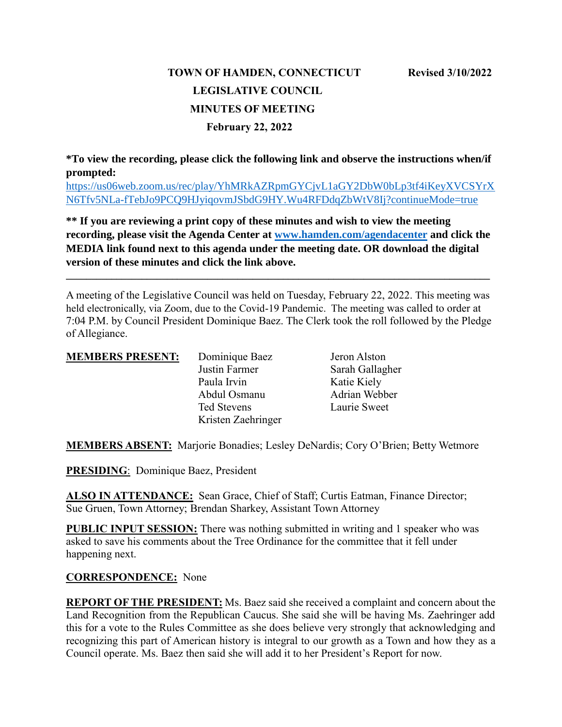# **TOWN OF HAMDEN, CONNECTICUT Revised 3/10/2022 LEGISLATIVE COUNCIL MINUTES OF MEETING February 22, 2022**

**\*To view the recording, please click the following link and observe the instructions when/if prompted:**

[https://us06web.zoom.us/rec/play/YhMRkAZRpmGYCjvL1aGY2DbW0bLp3tf4iKeyXVCSYrX](https://us06web.zoom.us/rec/play/YhMRkAZRpmGYCjvL1aGY2DbW0bLp3tf4iKeyXVCSYrXN6Tfv5NLa-fTebJo9PCQ9HJyiqovmJSbdG9HY.Wu4RFDdqZbWtV8Ij?continueMode=true) [N6Tfv5NLa-fTebJo9PCQ9HJyiqovmJSbdG9HY.Wu4RFDdqZbWtV8Ij?continueMode=true](https://us06web.zoom.us/rec/play/YhMRkAZRpmGYCjvL1aGY2DbW0bLp3tf4iKeyXVCSYrXN6Tfv5NLa-fTebJo9PCQ9HJyiqovmJSbdG9HY.Wu4RFDdqZbWtV8Ij?continueMode=true)

**\*\* If you are reviewing a print copy of these minutes and wish to view the meeting recording, please visit the Agenda Center at [www.hamden.com/agendacenter](http://www.hamden.com/agendacenter) and click the MEDIA link found next to this agenda under the meeting date. OR download the digital version of these minutes and click the link above.**

**\_\_\_\_\_\_\_\_\_\_\_\_\_\_\_\_\_\_\_\_\_\_\_\_\_\_\_\_\_\_\_\_\_\_\_\_\_\_\_\_\_\_\_\_\_\_\_\_\_\_\_\_\_\_\_\_\_\_\_\_\_\_\_\_\_\_\_\_\_\_\_\_\_\_\_\_\_\_\_\_\_\_\_\_**

A meeting of the Legislative Council was held on Tuesday, February 22, 2022. This meeting was held electronically, via Zoom, due to the Covid-19 Pandemic. The meeting was called to order at 7:04 P.M. by Council President Dominique Baez. The Clerk took the roll followed by the Pledge of Allegiance.

| <b>MEMBERS PRESENT:</b> | Dominique Baez     | Jeron Alston    |
|-------------------------|--------------------|-----------------|
|                         | Justin Farmer      | Sarah Gallagher |
|                         | Paula Irvin        | Katie Kiely     |
|                         | Abdul Osmanu       | Adrian Webber   |
|                         | <b>Ted Stevens</b> | Laurie Sweet    |
|                         | Kristen Zaehringer |                 |
|                         |                    |                 |

**MEMBERS ABSENT:** Marjorie Bonadies; Lesley DeNardis; Cory O'Brien; Betty Wetmore

**PRESIDING**: Dominique Baez, President

**ALSO IN ATTENDANCE:** Sean Grace, Chief of Staff; Curtis Eatman, Finance Director; Sue Gruen, Town Attorney; Brendan Sharkey, Assistant Town Attorney

**PUBLIC INPUT SESSION:** There was nothing submitted in writing and 1 speaker who was asked to save his comments about the Tree Ordinance for the committee that it fell under happening next.

#### **CORRESPONDENCE:** None

**REPORT OF THE PRESIDENT:** Ms. Baez said she received a complaint and concern about the Land Recognition from the Republican Caucus. She said she will be having Ms. Zaehringer add this for a vote to the Rules Committee as she does believe very strongly that acknowledging and recognizing this part of American history is integral to our growth as a Town and how they as a Council operate. Ms. Baez then said she will add it to her President's Report for now.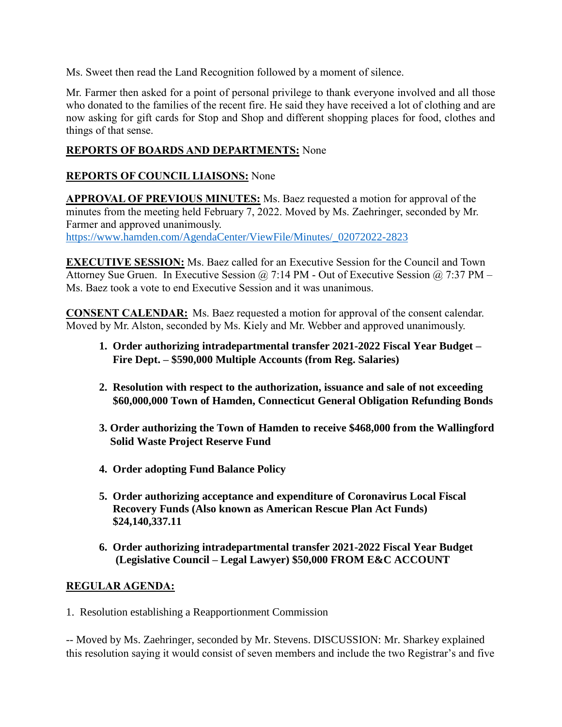Ms. Sweet then read the Land Recognition followed by a moment of silence.

Mr. Farmer then asked for a point of personal privilege to thank everyone involved and all those who donated to the families of the recent fire. He said they have received a lot of clothing and are now asking for gift cards for Stop and Shop and different shopping places for food, clothes and things of that sense.

### **REPORTS OF BOARDS AND DEPARTMENTS:** None

# **REPORTS OF COUNCIL LIAISONS:** None

**APPROVAL OF PREVIOUS MINUTES:** Ms. Baez requested a motion for approval of the minutes from the meeting held February 7, 2022. Moved by Ms. Zaehringer, seconded by Mr. Farmer and approved unanimously. [https://www.hamden.com/AgendaCenter/ViewFile/Minutes/\\_02072022-2823](https://www.hamden.com/AgendaCenter/ViewFile/Minutes/_02072022-2823)

**EXECUTIVE SESSION:** Ms. Baez called for an Executive Session for the Council and Town Attorney Sue Gruen. In Executive Session @ 7:14 PM - Out of Executive Session @ 7:37 PM – Ms. Baez took a vote to end Executive Session and it was unanimous.

**CONSENT CALENDAR:** Ms. Baez requested a motion for approval of the consent calendar. Moved by Mr. Alston, seconded by Ms. Kiely and Mr. Webber and approved unanimously.

- **1. Order authorizing intradepartmental transfer 2021-2022 Fiscal Year Budget – Fire Dept. – \$590,000 Multiple Accounts (from Reg. Salaries)**
- **2. Resolution with respect to the authorization, issuance and sale of not exceeding \$60,000,000 Town of Hamden, Connecticut General Obligation Refunding Bonds**
- **3. Order authorizing the Town of Hamden to receive \$468,000 from the Wallingford Solid Waste Project Reserve Fund**
- **4. Order adopting Fund Balance Policy**
- **5. Order authorizing acceptance and expenditure of Coronavirus Local Fiscal Recovery Funds (Also known as American Rescue Plan Act Funds) \$24,140,337.11**
- **6. Order authorizing intradepartmental transfer 2021-2022 Fiscal Year Budget (Legislative Council – Legal Lawyer) \$50,000 FROM E&C ACCOUNT**

#### **REGULAR AGENDA:**

1. Resolution establishing a Reapportionment Commission

-- Moved by Ms. Zaehringer, seconded by Mr. Stevens. DISCUSSION: Mr. Sharkey explained this resolution saying it would consist of seven members and include the two Registrar's and five